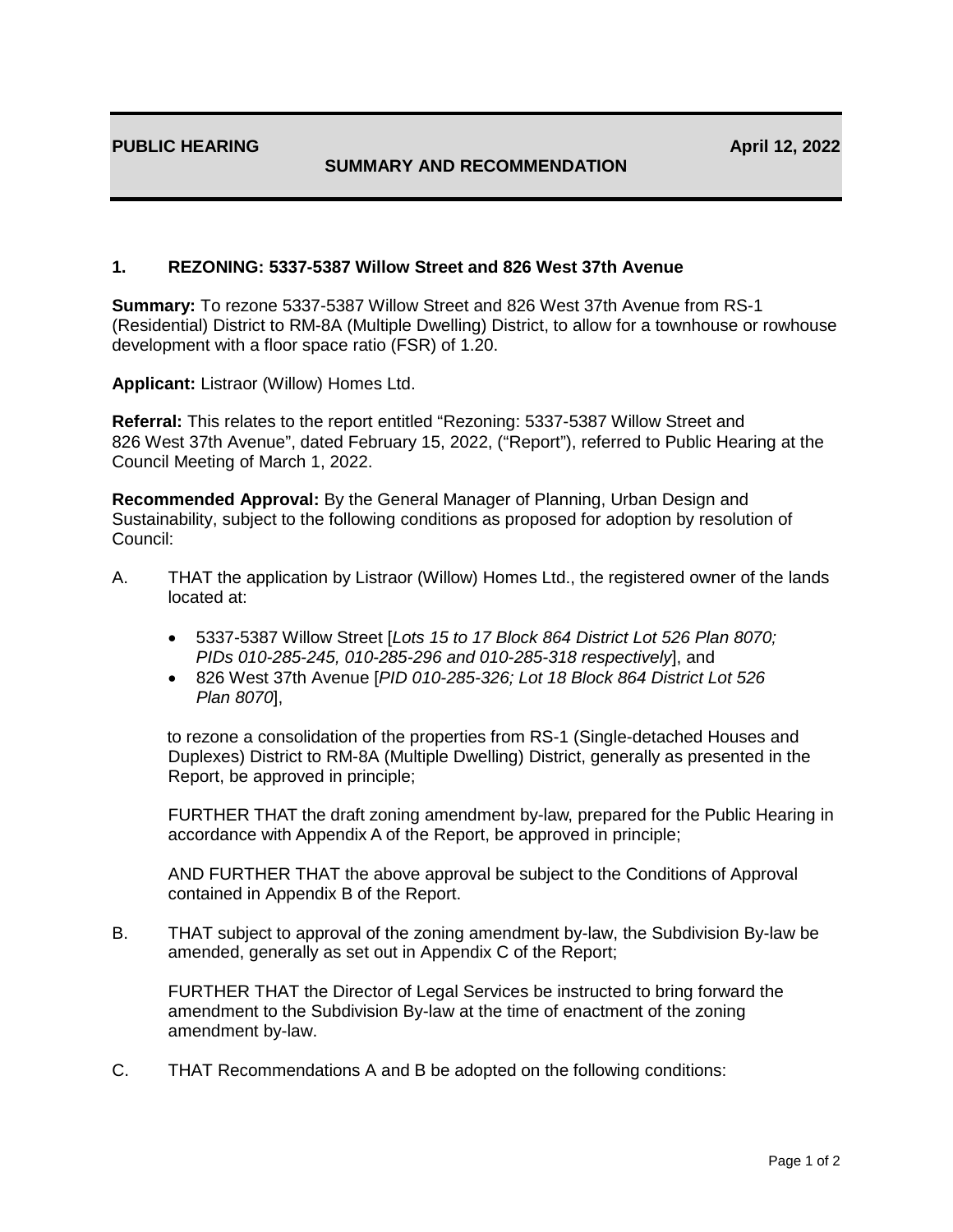## **SUMMARY AND RECOMMENDATION**

## **1. REZONING: 5337-5387 Willow Street and 826 West 37th Avenue**

**Summary:** To rezone 5337-5387 Willow Street and 826 West 37th Avenue from RS-1 (Residential) District to RM-8A (Multiple Dwelling) District, to allow for a townhouse or rowhouse development with a floor space ratio (FSR) of 1.20.

**Applicant:** Listraor (Willow) Homes Ltd.

**Referral:** This relates to the report entitled "Rezoning: 5337-5387 Willow Street and 826 West 37th Avenue", dated February 15, 2022, ("Report"), referred to Public Hearing at the Council Meeting of March 1, 2022.

**Recommended Approval:** By the General Manager of Planning, Urban Design and Sustainability, subject to the following conditions as proposed for adoption by resolution of Council:

- A. THAT the application by Listraor (Willow) Homes Ltd., the registered owner of the lands located at:
	- 5337-5387 Willow Street [*Lots 15 to 17 Block 864 District Lot 526 Plan 8070; PIDs 010-285-245, 010-285-296 and 010-285-318 respectively*], and
	- 826 West 37th Avenue [*PID 010-285-326; Lot 18 Block 864 District Lot 526 Plan 8070*],

to rezone a consolidation of the properties from RS-1 (Single-detached Houses and Duplexes) District to RM-8A (Multiple Dwelling) District, generally as presented in the Report, be approved in principle;

FURTHER THAT the draft zoning amendment by-law, prepared for the Public Hearing in accordance with Appendix A of the Report, be approved in principle;

AND FURTHER THAT the above approval be subject to the Conditions of Approval contained in Appendix B of the Report.

B. THAT subject to approval of the zoning amendment by-law, the Subdivision By-law be amended, generally as set out in Appendix C of the Report;

FURTHER THAT the Director of Legal Services be instructed to bring forward the amendment to the Subdivision By-law at the time of enactment of the zoning amendment by-law.

C. THAT Recommendations A and B be adopted on the following conditions: